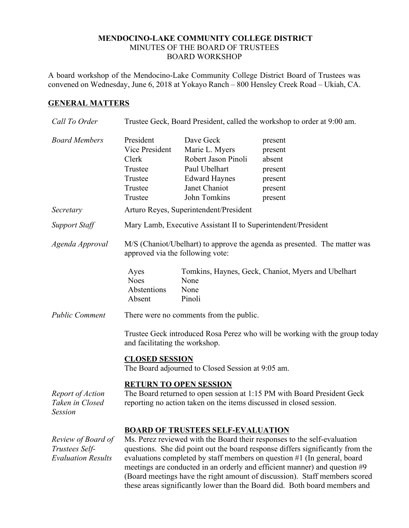## **MENDOCINO-LAKE COMMUNITY COLLEGE DISTRICT** MINUTES OF THE BOARD OF TRUSTEES BOARD WORKSHOP

A board workshop of the Mendocino-Lake Community College District Board of Trustees was convened on Wednesday, June 6, 2018 at Yokayo Ranch – 800 Hensley Creek Road – Ukiah, CA.

## **GENERAL MATTERS**

| Call To Order                                                     | Trustee Geck, Board President, called the workshop to order at 9:00 am.                                                                                                                                                                                                                                                                                                                                                                                                                                                      |                                                                                                                              |                                                                          |  |
|-------------------------------------------------------------------|------------------------------------------------------------------------------------------------------------------------------------------------------------------------------------------------------------------------------------------------------------------------------------------------------------------------------------------------------------------------------------------------------------------------------------------------------------------------------------------------------------------------------|------------------------------------------------------------------------------------------------------------------------------|--------------------------------------------------------------------------|--|
| <b>Board Members</b>                                              | President<br>Vice President<br>Clerk<br>Trustee<br>Trustee<br>Trustee<br>Trustee                                                                                                                                                                                                                                                                                                                                                                                                                                             | Dave Geck<br>Marie L. Myers<br>Robert Jason Pinoli<br>Paul Ubelhart<br><b>Edward Haynes</b><br>Janet Chaniot<br>John Tomkins | present<br>present<br>absent<br>present<br>present<br>present<br>present |  |
| Secretary                                                         | Arturo Reyes, Superintendent/President                                                                                                                                                                                                                                                                                                                                                                                                                                                                                       |                                                                                                                              |                                                                          |  |
| <b>Support Staff</b>                                              | Mary Lamb, Executive Assistant II to Superintendent/President                                                                                                                                                                                                                                                                                                                                                                                                                                                                |                                                                                                                              |                                                                          |  |
| Agenda Approval                                                   | M/S (Chaniot/Ubelhart) to approve the agenda as presented. The matter was<br>approved via the following vote:                                                                                                                                                                                                                                                                                                                                                                                                                |                                                                                                                              |                                                                          |  |
|                                                                   | Ayes<br><b>Noes</b><br>Abstentions<br>Absent                                                                                                                                                                                                                                                                                                                                                                                                                                                                                 | None<br>None<br>Pinoli                                                                                                       | Tomkins, Haynes, Geck, Chaniot, Myers and Ubelhart                       |  |
| <b>Public Comment</b>                                             | There were no comments from the public.                                                                                                                                                                                                                                                                                                                                                                                                                                                                                      |                                                                                                                              |                                                                          |  |
|                                                                   | Trustee Geck introduced Rosa Perez who will be working with the group today<br>and facilitating the workshop.<br><b>CLOSED SESSION</b><br>The Board adjourned to Closed Session at 9:05 am.                                                                                                                                                                                                                                                                                                                                  |                                                                                                                              |                                                                          |  |
| Report of Action<br>Taken in Closed<br><b>Session</b>             | <b>RETURN TO OPEN SESSION</b><br>The Board returned to open session at 1:15 PM with Board President Geck<br>reporting no action taken on the items discussed in closed session.                                                                                                                                                                                                                                                                                                                                              |                                                                                                                              |                                                                          |  |
| Review of Board of<br>Trustees Self-<br><b>Evaluation Results</b> | <b>BOARD OF TRUSTEES SELF-EVALUATION</b><br>Ms. Perez reviewed with the Board their responses to the self-evaluation<br>questions. She did point out the board response differs significantly from the<br>evaluations completed by staff members on question #1 (In general, board<br>meetings are conducted in an orderly and efficient manner) and question #9<br>(Board meetings have the right amount of discussion). Staff members scored<br>these areas significantly lower than the Board did. Both board members and |                                                                                                                              |                                                                          |  |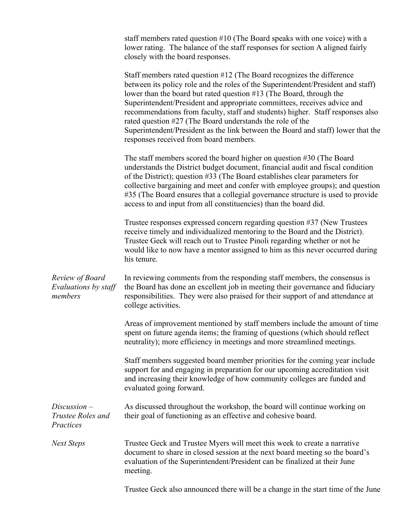|                                                    | staff members rated question $#10$ (The Board speaks with one voice) with a<br>lower rating. The balance of the staff responses for section A aligned fairly<br>closely with the board responses.                                                                                                                                                                                                                                                                                                                                                                                         |  |  |
|----------------------------------------------------|-------------------------------------------------------------------------------------------------------------------------------------------------------------------------------------------------------------------------------------------------------------------------------------------------------------------------------------------------------------------------------------------------------------------------------------------------------------------------------------------------------------------------------------------------------------------------------------------|--|--|
|                                                    | Staff members rated question #12 (The Board recognizes the difference<br>between its policy role and the roles of the Superintendent/President and staff)<br>lower than the board but rated question #13 (The Board, through the<br>Superintendent/President and appropriate committees, receives advice and<br>recommendations from faculty, staff and students) higher. Staff responses also<br>rated question #27 (The Board understands the role of the<br>Superintendent/President as the link between the Board and staff) lower that the<br>responses received from board members. |  |  |
|                                                    | The staff members scored the board higher on question #30 (The Board<br>understands the District budget document, financial audit and fiscal condition<br>of the District); question #33 (The Board establishes clear parameters for<br>collective bargaining and meet and confer with employee groups); and question<br>#35 (The Board ensures that a collegial governance structure is used to provide<br>access to and input from all constituencies) than the board did.                                                                                                              |  |  |
|                                                    | Trustee responses expressed concern regarding question #37 (New Trustees<br>receive timely and individualized mentoring to the Board and the District).<br>Trustee Geck will reach out to Trustee Pinoli regarding whether or not he<br>would like to now have a mentor assigned to him as this never occurred during<br>his tenure.                                                                                                                                                                                                                                                      |  |  |
| Review of Board<br>Evaluations by staff<br>members | In reviewing comments from the responding staff members, the consensus is<br>the Board has done an excellent job in meeting their governance and fiduciary<br>responsibilities. They were also praised for their support of and attendance at<br>college activities.                                                                                                                                                                                                                                                                                                                      |  |  |
|                                                    | Areas of improvement mentioned by staff members include the amount of time<br>spent on future agenda items; the framing of questions (which should reflect<br>neutrality); more efficiency in meetings and more streamlined meetings.                                                                                                                                                                                                                                                                                                                                                     |  |  |
|                                                    | Staff members suggested board member priorities for the coming year include<br>support for and engaging in preparation for our upcoming accreditation visit<br>and increasing their knowledge of how community colleges are funded and<br>evaluated going forward.                                                                                                                                                                                                                                                                                                                        |  |  |
| $Discussion-$<br>Trustee Roles and<br>Practices    | As discussed throughout the workshop, the board will continue working on<br>their goal of functioning as an effective and cohesive board.                                                                                                                                                                                                                                                                                                                                                                                                                                                 |  |  |
| <b>Next Steps</b>                                  | Trustee Geck and Trustee Myers will meet this week to create a narrative<br>document to share in closed session at the next board meeting so the board's<br>evaluation of the Superintendent/President can be finalized at their June<br>meeting.                                                                                                                                                                                                                                                                                                                                         |  |  |
|                                                    | Trustee Geck also announced there will be a change in the start time of the June                                                                                                                                                                                                                                                                                                                                                                                                                                                                                                          |  |  |